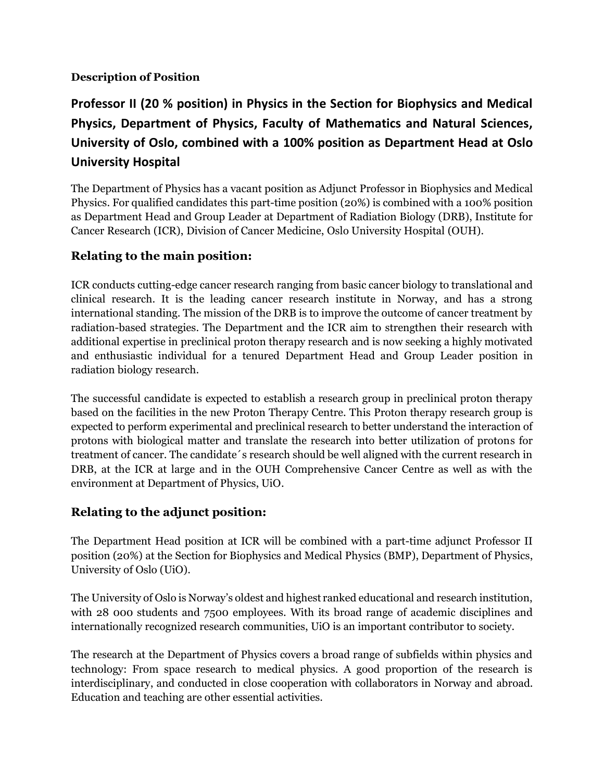#### **Description of Position**

# **Professor II (20 % position) in Physics in the Section for Biophysics and Medical Physics, Department of Physics, Faculty of Mathematics and Natural Sciences, University of Oslo, combined with a 100% position as Department Head at Oslo University Hospital**

The Department of Physics has a vacant position as Adjunct Professor in Biophysics and Medical Physics. For qualified candidates this part-time position (20%) is combined with a 100% position as Department Head and Group Leader at Department of Radiation Biology (DRB), Institute for Cancer Research (ICR), Division of Cancer Medicine, Oslo University Hospital (OUH).

### **Relating to the main position:**

ICR conducts cutting-edge cancer research ranging from basic cancer biology to translational and clinical research. It is the leading cancer research institute in Norway, and has a strong international standing. The mission of the DRB is to improve the outcome of cancer treatment by radiation-based strategies. The Department and the ICR aim to strengthen their research with additional expertise in preclinical proton therapy research and is now seeking a highly motivated and enthusiastic individual for a tenured Department Head and Group Leader position in radiation biology research.

The successful candidate is expected to establish a research group in preclinical proton therapy based on the facilities in the new Proton Therapy Centre. This Proton therapy research group is expected to perform experimental and preclinical research to better understand the interaction of protons with biological matter and translate the research into better utilization of protons for treatment of cancer. The candidate´s research should be well aligned with the current research in DRB, at the ICR at large and in the OUH Comprehensive Cancer Centre as well as with the environment at Department of Physics, UiO.

## **Relating to the adjunct position:**

The Department Head position at ICR will be combined with a part-time adjunct Professor II position (20%) at the Section for Biophysics and Medical Physics (BMP), Department of Physics, University of Oslo (UiO).

The University of Oslo is Norway's oldest and highest ranked educational and research institution, with 28 000 students and 7500 employees. With its broad range of academic disciplines and internationally recognized research communities, UiO is an important contributor to society.

The research at the Department of Physics covers a broad range of subfields within physics and technology: From space research to medical physics. A good proportion of the research is interdisciplinary, and conducted in close cooperation with collaborators in Norway and abroad. Education and teaching are other essential activities.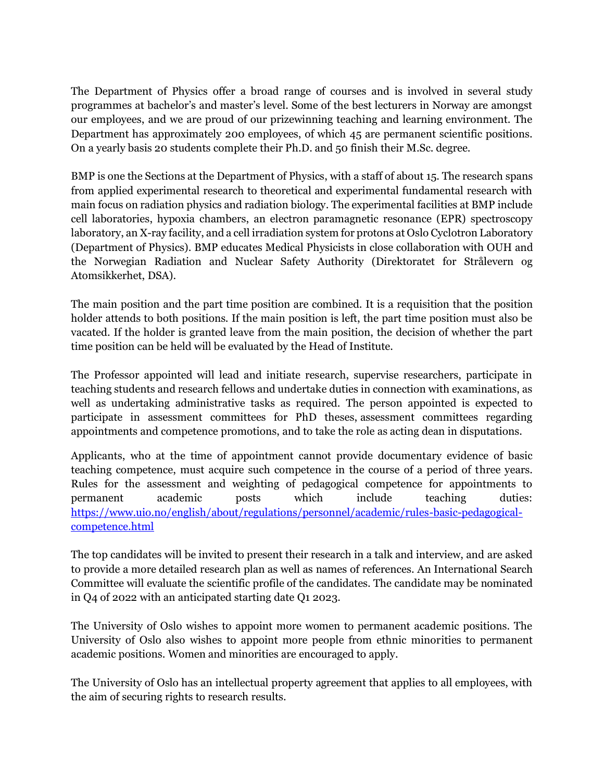The Department of Physics offer a broad range of courses and is involved in several study programmes at bachelor's and master's level. Some of the best lecturers in Norway are amongst our employees, and we are proud of our prizewinning teaching and learning environment. The Department has approximately 200 employees, of which 45 are permanent scientific positions. On a yearly basis 20 students complete their Ph.D. and 50 finish their M.Sc. degree.

BMP is one the Sections at the Department of Physics, with a staff of about 15. The research spans from applied experimental research to theoretical and experimental fundamental research with main focus on radiation physics and radiation biology. The experimental facilities at BMP include cell laboratories, hypoxia chambers, an electron paramagnetic resonance (EPR) spectroscopy laboratory, an X-ray facility, and a cell irradiation system for protons at Oslo Cyclotron Laboratory (Department of Physics). BMP educates Medical Physicists in close collaboration with OUH and the Norwegian Radiation and Nuclear Safety Authority (Direktoratet for Strålevern og Atomsikkerhet, DSA).

The main position and the part time position are combined. It is a requisition that the position holder attends to both positions. If the main position is left, the part time position must also be vacated. If the holder is granted leave from the main position, the decision of whether the part time position can be held will be evaluated by the Head of Institute.

The Professor appointed will lead and initiate research, supervise researchers, participate in teaching students and research fellows and undertake duties in connection with examinations, as well as undertaking administrative tasks as required. The person appointed is expected to participate in assessment committees for PhD theses, assessment committees regarding appointments and competence promotions, and to take the role as acting dean in disputations.

Applicants, who at the time of appointment cannot provide documentary evidence of basic teaching competence, must acquire such competence in the course of a period of three years. Rules for the assessment and weighting of pedagogical competence for appointments to permanent academic posts which include teaching duties: [https://www.uio.no/english/about/regulations/personnel/academic/rules-basic-pedagogical](https://www.uio.no/english/about/regulations/personnel/academic/rules-basic-pedagogical-competence.html)[competence.html](https://www.uio.no/english/about/regulations/personnel/academic/rules-basic-pedagogical-competence.html)

The top candidates will be invited to present their research in a talk and interview, and are asked to provide a more detailed research plan as well as names of references. An International Search Committee will evaluate the scientific profile of the candidates. The candidate may be nominated in Q4 of 2022 with an anticipated starting date Q1 2023.

The University of Oslo wishes to appoint more women to permanent academic positions. The University of Oslo also wishes to appoint more people from ethnic minorities to permanent academic positions. Women and minorities are encouraged to apply.

The University of Oslo has an intellectual property agreement that applies to all employees, with the aim of securing rights to research results.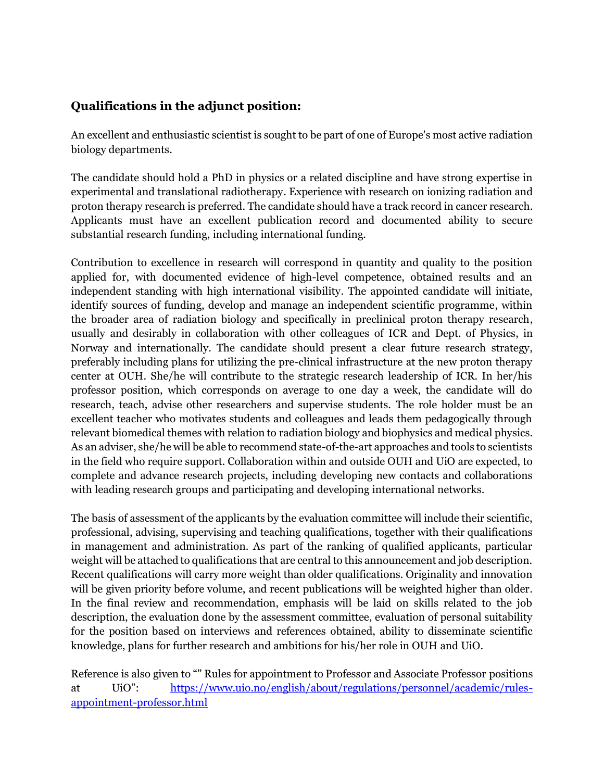### **Qualifications in the adjunct position:**

An excellent and enthusiastic scientist is sought to be part of one of Europe's most active radiation biology departments.

The candidate should hold a PhD in physics or a related discipline and have strong expertise in experimental and translational radiotherapy. Experience with research on ionizing radiation and proton therapy research is preferred. The candidate should have a track record in cancer research. Applicants must have an excellent publication record and documented ability to secure substantial research funding, including international funding.

Contribution to excellence in research will correspond in quantity and quality to the position applied for, with documented evidence of high-level competence, obtained results and an independent standing with high international visibility. The appointed candidate will initiate, identify sources of funding, develop and manage an independent scientific programme, within the broader area of radiation biology and specifically in preclinical proton therapy research, usually and desirably in collaboration with other colleagues of ICR and Dept. of Physics, in Norway and internationally. The candidate should present a clear future research strategy, preferably including plans for utilizing the pre-clinical infrastructure at the new proton therapy center at OUH. She/he will contribute to the strategic research leadership of ICR. In her/his professor position, which corresponds on average to one day a week, the candidate will do research, teach, advise other researchers and supervise students. The role holder must be an excellent teacher who motivates students and colleagues and leads them pedagogically through relevant biomedical themes with relation to radiation biology and biophysics and medical physics. As an adviser, she/he will be able to recommend state-of-the-art approaches and tools to scientists in the field who require support. Collaboration within and outside OUH and UiO are expected, to complete and advance research projects, including developing new contacts and collaborations with leading research groups and participating and developing international networks.

The basis of assessment of the applicants by the evaluation committee will include their scientific, professional, advising, supervising and teaching qualifications, together with their qualifications in management and administration. As part of the ranking of qualified applicants, particular weight will be attached to qualifications that are central to this announcement and job description. Recent qualifications will carry more weight than older qualifications. Originality and innovation will be given priority before volume, and recent publications will be weighted higher than older. In the final review and recommendation, emphasis will be laid on skills related to the job description, the evaluation done by the assessment committee, evaluation of personal suitability for the position based on interviews and references obtained, ability to disseminate scientific knowledge, plans for further research and ambitions for his/her role in OUH and UiO.

Reference is also given to "" Rules for appointment to Professor and Associate Professor positions at UiO": [https://www.uio.no/english/about/regulations/personnel/academic/rules](https://www.uio.no/english/about/regulations/personnel/academic/rules-appointment-professor.html)[appointment-professor.html](https://www.uio.no/english/about/regulations/personnel/academic/rules-appointment-professor.html)